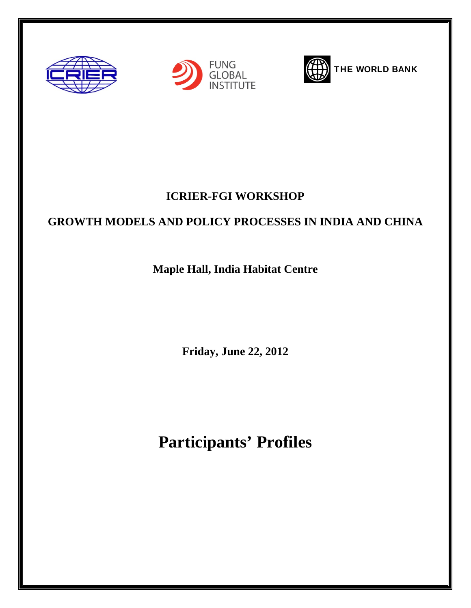





THE WORLD BANK

## **ICRIER-FGI WORKSHOP**

## **GROWTH MODELS AND POLICY PROCESSES IN INDIA AND CHINA**

## **Maple Hall, India Habitat Centre**

**Friday, June 22, 2012** 

## **Participants' Profiles**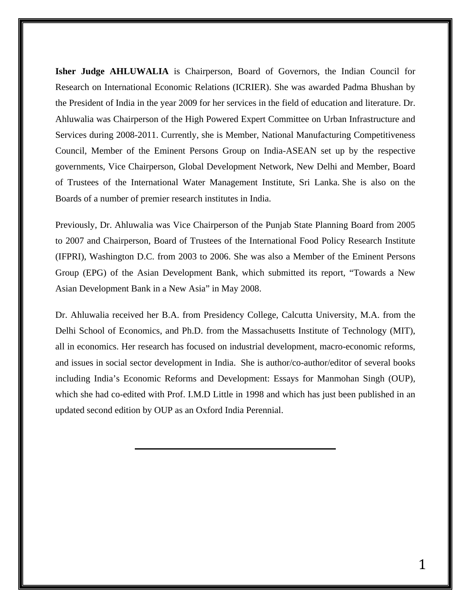**Isher Judge AHLUWALIA** is Chairperson, Board of Governors, the Indian Council for Research on International Economic Relations (ICRIER). She was awarded Padma Bhushan by the President of India in the year 2009 for her services in the field of education and literature. Dr. Ahluwalia was Chairperson of the High Powered Expert Committee on Urban Infrastructure and Services during 2008-2011. Currently, she is Member, National Manufacturing Competitiveness Council, Member of the Eminent Persons Group on India-ASEAN set up by the respective governments, Vice Chairperson, Global Development Network, New Delhi and Member, Board of Trustees of the International Water Management Institute, Sri Lanka. She is also on the Boards of a number of premier research institutes in India.

Previously, Dr. Ahluwalia was Vice Chairperson of the Punjab State Planning Board from 2005 to 2007 and Chairperson, Board of Trustees of the International Food Policy Research Institute (IFPRI), Washington D.C. from 2003 to 2006. She was also a Member of the Eminent Persons Group (EPG) of the Asian Development Bank, which submitted its report, "Towards a New Asian Development Bank in a New Asia" in May 2008.

Dr. Ahluwalia received her B.A. from Presidency College, Calcutta University, M.A. from the Delhi School of Economics, and Ph.D. from the Massachusetts Institute of Technology (MIT), all in economics. Her research has focused on industrial development, macro-economic reforms, and issues in social sector development in India. She is author/co-author/editor of several books including India's Economic Reforms and Development: Essays for Manmohan Singh (OUP), which she had co-edited with Prof. I.M.D Little in 1998 and which has just been published in an updated second edition by OUP as an Oxford India Perennial.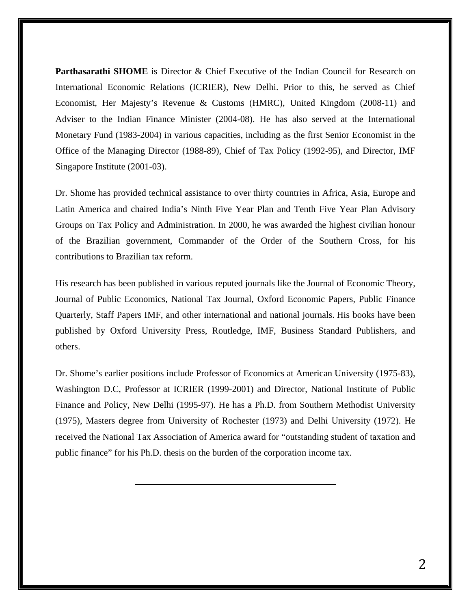**Parthasarathi SHOME** is Director & Chief Executive of the Indian Council for Research on International Economic Relations (ICRIER), New Delhi. Prior to this, he served as Chief Economist, Her Majesty's Revenue & Customs (HMRC), United Kingdom (2008-11) and Adviser to the Indian Finance Minister (2004-08). He has also served at the International Monetary Fund (1983-2004) in various capacities, including as the first Senior Economist in the Office of the Managing Director (1988-89), Chief of Tax Policy (1992-95), and Director, IMF Singapore Institute (2001-03).

Dr. Shome has provided technical assistance to over thirty countries in Africa, Asia, Europe and Latin America and chaired India's Ninth Five Year Plan and Tenth Five Year Plan Advisory Groups on Tax Policy and Administration. In 2000, he was awarded the highest civilian honour of the Brazilian government, Commander of the Order of the Southern Cross, for his contributions to Brazilian tax reform.

His research has been published in various reputed journals like the Journal of Economic Theory, Journal of Public Economics, National Tax Journal, Oxford Economic Papers, Public Finance Quarterly, Staff Papers IMF, and other international and national journals. His books have been published by Oxford University Press, Routledge, IMF, Business Standard Publishers, and others.

Dr. Shome's earlier positions include Professor of Economics at American University (1975-83), Washington D.C, Professor at ICRIER (1999-2001) and Director, National Institute of Public Finance and Policy, New Delhi (1995-97). He has a Ph.D. from Southern Methodist University (1975), Masters degree from University of Rochester (1973) and Delhi University (1972). He received the National Tax Association of America award for "outstanding student of taxation and public finance" for his Ph.D. thesis on the burden of the corporation income tax.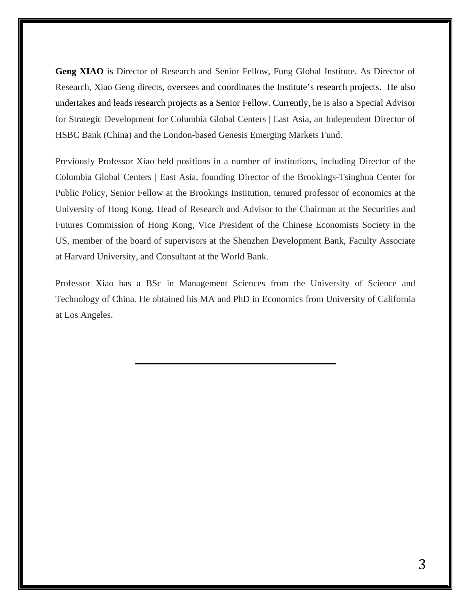**Geng XIAO** is Director of Research and Senior Fellow, Fung Global Institute. As Director of Research, Xiao Geng directs, oversees and coordinates the Institute's research projects. He also undertakes and leads research projects as a Senior Fellow. Currently, he is also a Special Advisor for Strategic Development for Columbia Global Centers | East Asia, an Independent Director of HSBC Bank (China) and the London-based Genesis Emerging Markets Fund.

Previously Professor Xiao held positions in a number of institutions, including Director of the Columbia Global Centers | East Asia, founding Director of the Brookings-Tsinghua Center for Public Policy, Senior Fellow at the Brookings Institution, tenured professor of economics at the University of Hong Kong, Head of Research and Advisor to the Chairman at the Securities and Futures Commission of Hong Kong, Vice President of the Chinese Economists Society in the US, member of the board of supervisors at the Shenzhen Development Bank, Faculty Associate at Harvard University, and Consultant at the World Bank.

Professor Xiao has a BSc in Management Sciences from the University of Science and Technology of China. He obtained his MA and PhD in Economics from University of California at Los Angeles.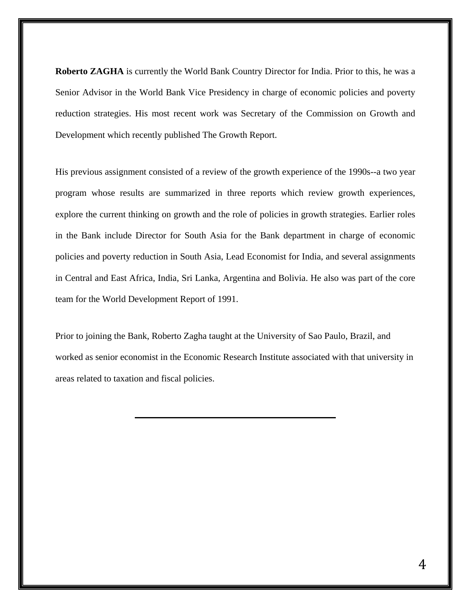**Roberto ZAGHA** is currently the World Bank Country Director for India. Prior to this, he was a Senior Advisor in the World Bank Vice Presidency in charge of economic policies and poverty reduction strategies. His most recent work was Secretary of the Commission on Growth and Development which recently published The Growth Report.

His previous assignment consisted of a review of the growth experience of the 1990s--a two year program whose results are summarized in three reports which review growth experiences, explore the current thinking on growth and the role of policies in growth strategies. Earlier roles in the Bank include Director for South Asia for the Bank department in charge of economic policies and poverty reduction in South Asia, Lead Economist for India, and several assignments in Central and East Africa, India, Sri Lanka, Argentina and Bolivia. He also was part of the core team for the World Development Report of 1991.

Prior to joining the Bank, Roberto Zagha taught at the University of Sao Paulo, Brazil, and worked as senior economist in the Economic Research Institute associated with that university in areas related to taxation and fiscal policies.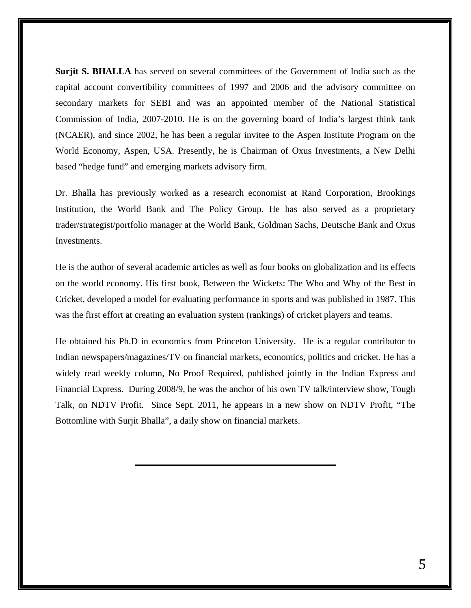Surjit S. BHALLA has served on several committees of the Government of India such as the capital account convertibility committees of 1997 and 2006 and the advisory committee on secondary markets for SEBI and was an appointed member of the National Statistical Commission of India, 2007-2010. He is on the governing board of India's largest think tank (NCAER), and since 2002, he has been a regular invitee to the Aspen Institute Program on the World Economy, Aspen, USA. Presently, he is Chairman of Oxus Investments, a New Delhi based "hedge fund" and emerging markets advisory firm.

Dr. Bhalla has previously worked as a research economist at Rand Corporation, Brookings Institution, the World Bank and The Policy Group. He has also served as a proprietary trader/strategist/portfolio manager at the World Bank, Goldman Sachs, Deutsche Bank and Oxus Investments.

He is the author of several academic articles as well as four books on globalization and its effects on the world economy. His first book, Between the Wickets: The Who and Why of the Best in Cricket, developed a model for evaluating performance in sports and was published in 1987. This was the first effort at creating an evaluation system (rankings) of cricket players and teams.

He obtained his Ph.D in economics from Princeton University. He is a regular contributor to Indian newspapers/magazines/TV on financial markets, economics, politics and cricket. He has a widely read weekly column, No Proof Required, published jointly in the Indian Express and Financial Express. During 2008/9, he was the anchor of his own TV talk/interview show, Tough Talk, on NDTV Profit. Since Sept. 2011, he appears in a new show on NDTV Profit, "The Bottomline with Surjit Bhalla", a daily show on financial markets.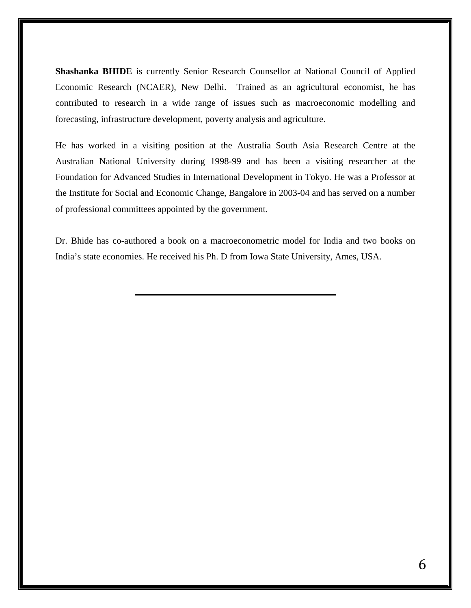**Shashanka BHIDE** is currently Senior Research Counsellor at National Council of Applied Economic Research (NCAER), New Delhi. Trained as an agricultural economist, he has contributed to research in a wide range of issues such as macroeconomic modelling and forecasting, infrastructure development, poverty analysis and agriculture.

He has worked in a visiting position at the Australia South Asia Research Centre at the Australian National University during 1998-99 and has been a visiting researcher at the Foundation for Advanced Studies in International Development in Tokyo. He was a Professor at the Institute for Social and Economic Change, Bangalore in 2003-04 and has served on a number of professional committees appointed by the government.

Dr. Bhide has co-authored a book on a macroeconometric model for India and two books on India's state economies. He received his Ph. D from Iowa State University, Ames, USA.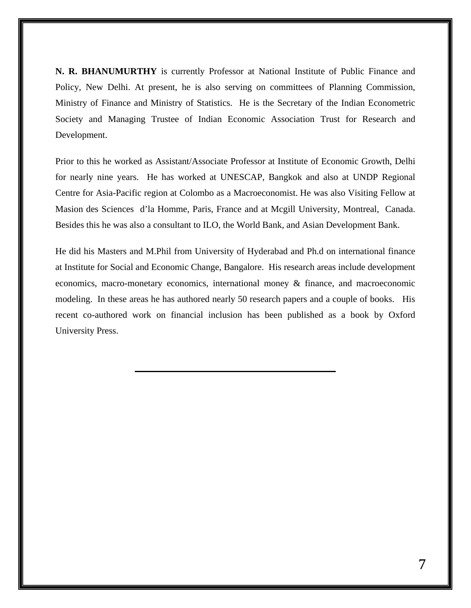**N. R. BHANUMURTHY** is currently Professor at National Institute of Public Finance and Policy, New Delhi. At present, he is also serving on committees of Planning Commission, Ministry of Finance and Ministry of Statistics. He is the Secretary of the Indian Econometric Society and Managing Trustee of Indian Economic Association Trust for Research and Development.

Prior to this he worked as Assistant/Associate Professor at Institute of Economic Growth, Delhi for nearly nine years. He has worked at UNESCAP, Bangkok and also at UNDP Regional Centre for Asia-Pacific region at Colombo as a Macroeconomist. He was also Visiting Fellow at Masion des Sciences d'la Homme, Paris, France and at Mcgill University, Montreal, Canada. Besides this he was also a consultant to ILO, the World Bank, and Asian Development Bank.

He did his Masters and M.Phil from University of Hyderabad and Ph.d on international finance at Institute for Social and Economic Change, Bangalore. His research areas include development economics, macro-monetary economics, international money & finance, and macroeconomic modeling. In these areas he has authored nearly 50 research papers and a couple of books. His recent co-authored work on financial inclusion has been published as a book by Oxford University Press.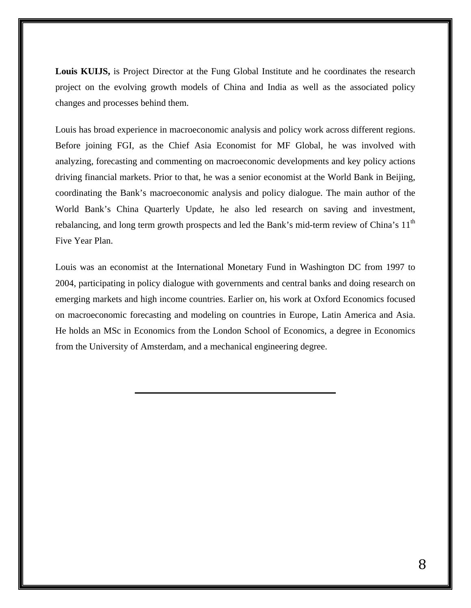**Louis KUIJS,** is Project Director at the Fung Global Institute and he coordinates the research project on the evolving growth models of China and India as well as the associated policy changes and processes behind them.

Louis has broad experience in macroeconomic analysis and policy work across different regions. Before joining FGI, as the Chief Asia Economist for MF Global, he was involved with analyzing, forecasting and commenting on macroeconomic developments and key policy actions driving financial markets. Prior to that, he was a senior economist at the World Bank in Beijing, coordinating the Bank's macroeconomic analysis and policy dialogue. The main author of the World Bank's China Quarterly Update, he also led research on saving and investment, rebalancing, and long term growth prospects and led the Bank's mid-term review of China's 11<sup>th</sup> Five Year Plan.

Louis was an economist at the International Monetary Fund in Washington DC from 1997 to 2004, participating in policy dialogue with governments and central banks and doing research on emerging markets and high income countries. Earlier on, his work at Oxford Economics focused on macroeconomic forecasting and modeling on countries in Europe, Latin America and Asia. He holds an MSc in Economics from the London School of Economics, a degree in Economics from the University of Amsterdam, and a mechanical engineering degree.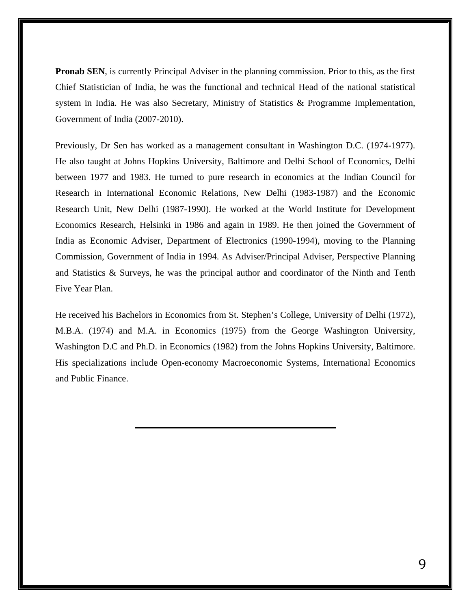**Pronab SEN**, is currently Principal Adviser in the planning commission. Prior to this, as the first Chief Statistician of India, he was the functional and technical Head of the national statistical system in India. He was also Secretary, Ministry of Statistics & Programme Implementation, Government of India (2007-2010).

Previously, Dr Sen has worked as a management consultant in Washington D.C. (1974-1977). He also taught at Johns Hopkins University, Baltimore and Delhi School of Economics, Delhi between 1977 and 1983. He turned to pure research in economics at the Indian Council for Research in International Economic Relations, New Delhi (1983-1987) and the Economic Research Unit, New Delhi (1987-1990). He worked at the World Institute for Development Economics Research, Helsinki in 1986 and again in 1989. He then joined the Government of India as Economic Adviser, Department of Electronics (1990-1994), moving to the Planning Commission, Government of India in 1994. As Adviser/Principal Adviser, Perspective Planning and Statistics & Surveys, he was the principal author and coordinator of the Ninth and Tenth Five Year Plan.

He received his Bachelors in Economics from St. Stephen's College, University of Delhi (1972), M.B.A. (1974) and M.A. in Economics (1975) from the George Washington University, Washington D.C and Ph.D. in Economics (1982) from the Johns Hopkins University, Baltimore. His specializations include Open-economy Macroeconomic Systems, International Economics and Public Finance.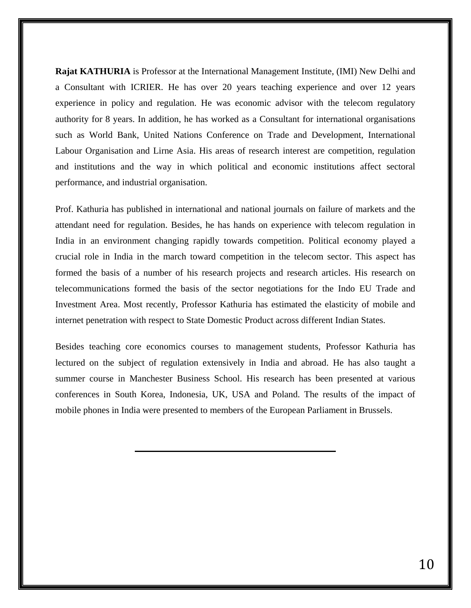**Rajat KATHURIA** is Professor at the International Management Institute, (IMI) New Delhi and a Consultant with ICRIER. He has over 20 years teaching experience and over 12 years experience in policy and regulation. He was economic advisor with the telecom regulatory authority for 8 years. In addition, he has worked as a Consultant for international organisations such as World Bank, United Nations Conference on Trade and Development, International Labour Organisation and Lirne Asia. His areas of research interest are competition, regulation and institutions and the way in which political and economic institutions affect sectoral performance, and industrial organisation.

Prof. Kathuria has published in international and national journals on failure of markets and the attendant need for regulation. Besides, he has hands on experience with telecom regulation in India in an environment changing rapidly towards competition. Political economy played a crucial role in India in the march toward competition in the telecom sector. This aspect has formed the basis of a number of his research projects and research articles. His research on telecommunications formed the basis of the sector negotiations for the Indo EU Trade and Investment Area. Most recently, Professor Kathuria has estimated the elasticity of mobile and internet penetration with respect to State Domestic Product across different Indian States.

Besides teaching core economics courses to management students, Professor Kathuria has lectured on the subject of regulation extensively in India and abroad. He has also taught a summer course in Manchester Business School. His research has been presented at various conferences in South Korea, Indonesia, UK, USA and Poland. The results of the impact of mobile phones in India were presented to members of the European Parliament in Brussels.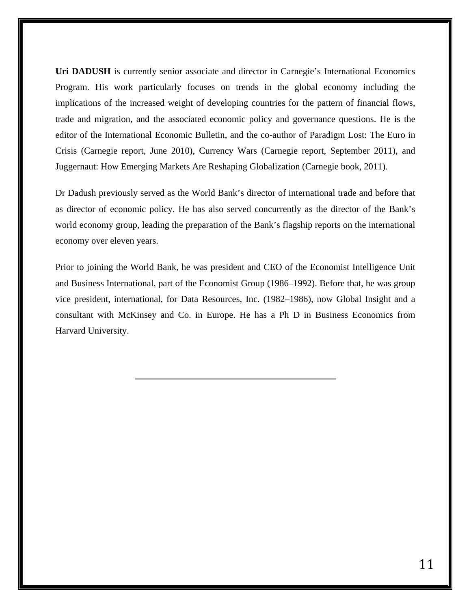Uri DADUSH is currently senior associate and director in Carnegie's International Economics Program. His work particularly focuses on trends in the global economy including the implications of the increased weight of developing countries for the pattern of financial flows, trade and migration, and the associated economic policy and governance questions. He is the editor of the International Economic Bulletin, and the co-author of Paradigm Lost: The Euro in Crisis (Carnegie report, June 2010), Currency Wars (Carnegie report, September 2011), and Juggernaut: How Emerging Markets Are Reshaping Globalization (Carnegie book, 2011).

Dr Dadush previously served as the World Bank's director of international trade and before that as director of economic policy. He has also served concurrently as the director of the Bank's world economy group, leading the preparation of the Bank's flagship reports on the international economy over eleven years.

Prior to joining the World Bank, he was president and CEO of the Economist Intelligence Unit and Business International, part of the Economist Group (1986–1992). Before that, he was group vice president, international, for Data Resources, Inc. (1982–1986), now Global Insight and a consultant with McKinsey and Co. in Europe. He has a Ph D in Business Economics from Harvard University.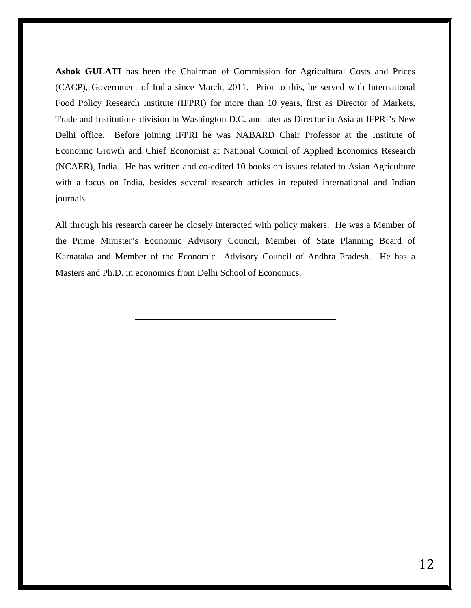**Ashok GULATI** has been the Chairman of Commission for Agricultural Costs and Prices (CACP), Government of India since March, 2011. Prior to this, he served with International Food Policy Research Institute (IFPRI) for more than 10 years, first as Director of Markets, Trade and Institutions division in Washington D.C. and later as Director in Asia at IFPRI's New Delhi office. Before joining IFPRI he was NABARD Chair Professor at the Institute of Economic Growth and Chief Economist at National Council of Applied Economics Research (NCAER), India. He has written and co-edited 10 books on issues related to Asian Agriculture with a focus on India, besides several research articles in reputed international and Indian journals.

All through his research career he closely interacted with policy makers. He was a Member of the Prime Minister's Economic Advisory Council, Member of State Planning Board of Karnataka and Member of the Economic Advisory Council of Andhra Pradesh. He has a Masters and Ph.D. in economics from Delhi School of Economics.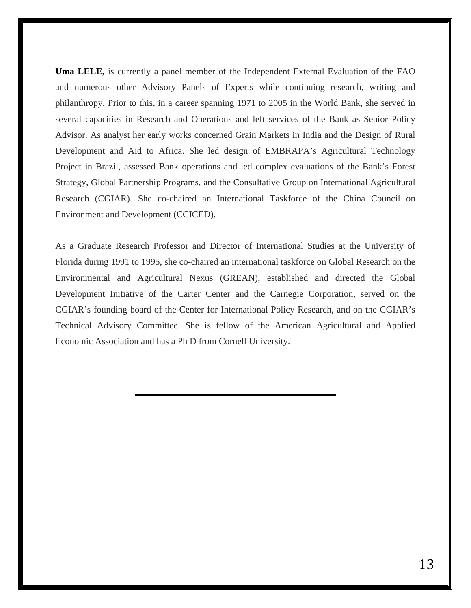**Uma LELE,** is currently a panel member of the Independent External Evaluation of the FAO and numerous other Advisory Panels of Experts while continuing research, writing and philanthropy. Prior to this, in a career spanning 1971 to 2005 in the World Bank, she served in several capacities in Research and Operations and left services of the Bank as Senior Policy Advisor. As analyst her early works concerned Grain Markets in India and the Design of Rural Development and Aid to Africa. She led design of EMBRAPA's Agricultural Technology Project in Brazil, assessed Bank operations and led complex evaluations of the Bank's Forest Strategy, Global Partnership Programs, and the Consultative Group on International Agricultural Research (CGIAR). She co-chaired an International Taskforce of the China Council on Environment and Development (CCICED).

As a Graduate Research Professor and Director of International Studies at the University of Florida during 1991 to 1995, she co-chaired an international taskforce on Global Research on the Environmental and Agricultural Nexus (GREAN), established and directed the Global Development Initiative of the Carter Center and the Carnegie Corporation, served on the CGIAR's founding board of the Center for International Policy Research, and on the CGIAR's Technical Advisory Committee. She is fellow of the American Agricultural and Applied Economic Association and has a Ph D from Cornell University.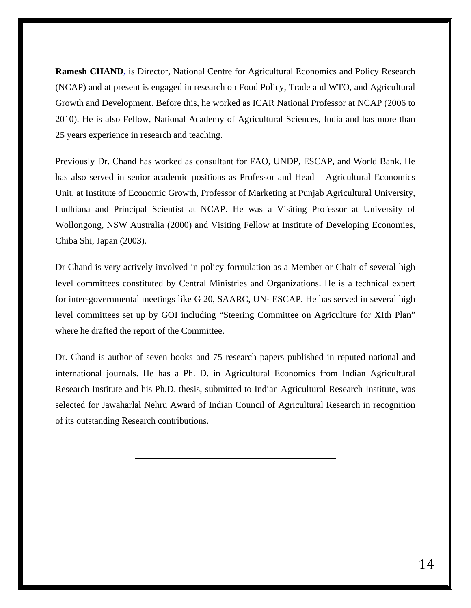**Ramesh CHAND,** is Director, National Centre for Agricultural Economics and Policy Research (NCAP) and at present is engaged in research on Food Policy, Trade and WTO, and Agricultural Growth and Development. Before this, he worked as ICAR National Professor at NCAP (2006 to 2010). He is also Fellow, National Academy of Agricultural Sciences, India and has more than 25 years experience in research and teaching.

Previously Dr. Chand has worked as consultant for FAO, UNDP, ESCAP, and World Bank. He has also served in senior academic positions as Professor and Head – Agricultural Economics Unit, at Institute of Economic Growth, Professor of Marketing at Punjab Agricultural University, Ludhiana and Principal Scientist at NCAP. He was a Visiting Professor at University of Wollongong, NSW Australia (2000) and Visiting Fellow at Institute of Developing Economies, Chiba Shi, Japan (2003).

Dr Chand is very actively involved in policy formulation as a Member or Chair of several high level committees constituted by Central Ministries and Organizations. He is a technical expert for inter-governmental meetings like G 20, SAARC, UN- ESCAP. He has served in several high level committees set up by GOI including "Steering Committee on Agriculture for XIth Plan" where he drafted the report of the Committee.

Dr. Chand is author of seven books and 75 research papers published in reputed national and international journals. He has a Ph. D. in Agricultural Economics from Indian Agricultural Research Institute and his Ph.D. thesis, submitted to Indian Agricultural Research Institute, was selected for Jawaharlal Nehru Award of Indian Council of Agricultural Research in recognition of its outstanding Research contributions.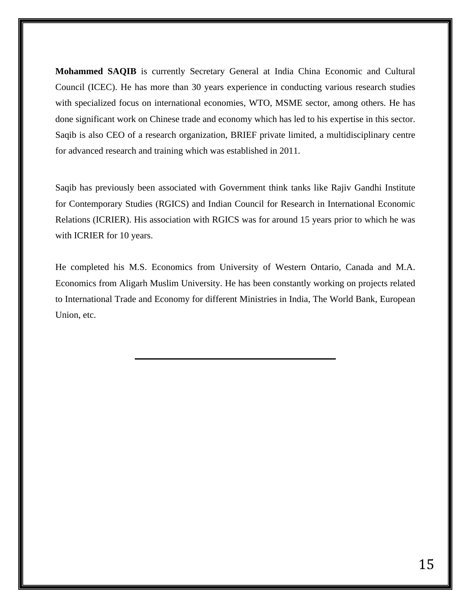**Mohammed SAQIB** is currently Secretary General at India China Economic and Cultural Council (ICEC). He has more than 30 years experience in conducting various research studies with specialized focus on international economies, WTO, MSME sector, among others. He has done significant work on Chinese trade and economy which has led to his expertise in this sector. Saqib is also CEO of a research organization, BRIEF private limited, a multidisciplinary centre for advanced research and training which was established in 2011.

Saqib has previously been associated with Government think tanks like Rajiv Gandhi Institute for Contemporary Studies (RGICS) and Indian Council for Research in International Economic Relations (ICRIER). His association with RGICS was for around 15 years prior to which he was with ICRIER for 10 years.

He completed his M.S. Economics from University of Western Ontario, Canada and M.A. Economics from Aligarh Muslim University. He has been constantly working on projects related to International Trade and Economy for different Ministries in India, The World Bank, European Union, etc.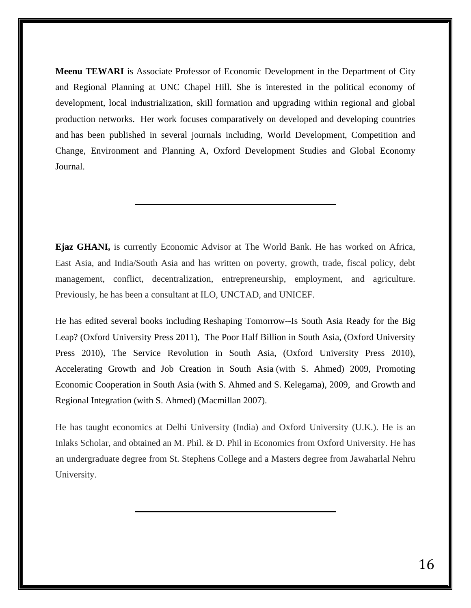**Meenu TEWARI** is Associate Professor of Economic Development in the Department of City and Regional Planning at UNC Chapel Hill. She is interested in the political economy of development, local industrialization, skill formation and upgrading within regional and global production networks. Her work focuses comparatively on developed and developing countries and has been published in several journals including, World Development, Competition and Change, Environment and Planning A, Oxford Development Studies and Global Economy Journal.

**Ejaz GHANI,** is currently Economic Advisor at The World Bank. He has worked on Africa, East Asia, and India/South Asia and has written on poverty, growth, trade, fiscal policy, debt management, conflict, decentralization, entrepreneurship, employment, and agriculture. Previously, he has been a consultant at ILO, UNCTAD, and UNICEF.

He has edited several books including Reshaping Tomorrow--Is South Asia Ready for the Big Leap? (Oxford University Press 2011), The Poor Half Billion in South Asia, (Oxford University Press 2010), The Service Revolution in South Asia, (Oxford University Press 2010), Accelerating Growth and Job Creation in South Asia (with S. Ahmed) 2009, Promoting Economic Cooperation in South Asia (with S. Ahmed and S. Kelegama), 2009, and Growth and Regional Integration (with S. Ahmed) (Macmillan 2007).

He has taught economics at Delhi University (India) and Oxford University (U.K.). He is an Inlaks Scholar, and obtained an M. Phil. & D. Phil in Economics from Oxford University. He has an undergraduate degree from St. Stephens College and a Masters degree from Jawaharlal Nehru University.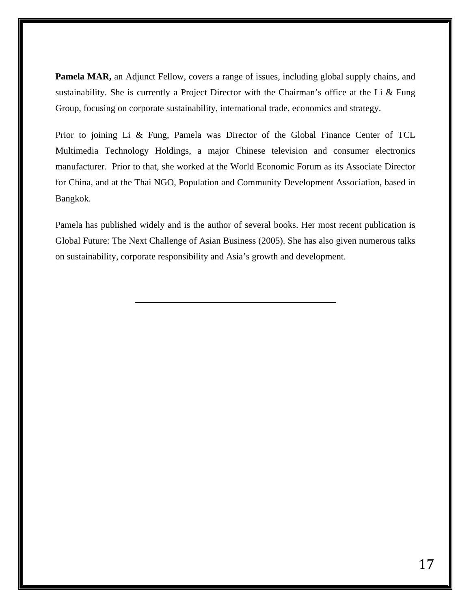**Pamela MAR,** an Adjunct Fellow, covers a range of issues, including global supply chains, and sustainability. She is currently a Project Director with the Chairman's office at the Li & Fung Group, focusing on corporate sustainability, international trade, economics and strategy.

Prior to joining Li & Fung, Pamela was Director of the Global Finance Center of TCL Multimedia Technology Holdings, a major Chinese television and consumer electronics manufacturer. Prior to that, she worked at the World Economic Forum as its Associate Director for China, and at the Thai NGO, Population and Community Development Association, based in Bangkok.

Pamela has published widely and is the author of several books. Her most recent publication is Global Future: The Next Challenge of Asian Business (2005). She has also given numerous talks on sustainability, corporate responsibility and Asia's growth and development.